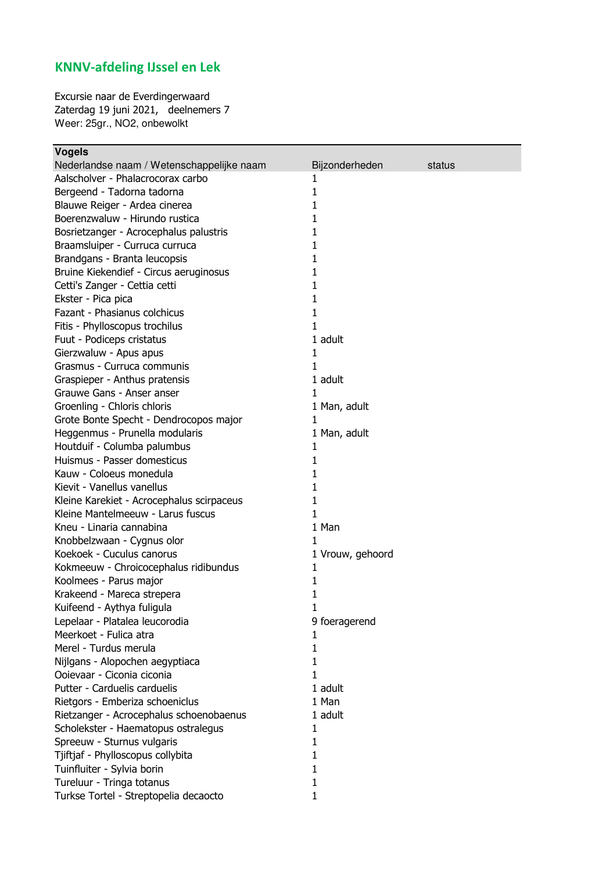## **KNNV-afdeling IJssel en Lek**

Excursie naar de Everdingerwaard Zaterdag 19 juni 2021, deelnemers 7 Weer: 25gr., NO2, onbewolkt

| <b>Vogels</b>                             |                  |        |
|-------------------------------------------|------------------|--------|
| Nederlandse naam / Wetenschappelijke naam | Bijzonderheden   | status |
| Aalscholver - Phalacrocorax carbo         | 1                |        |
| Bergeend - Tadorna tadorna                | 1                |        |
| Blauwe Reiger - Ardea cinerea             | 1                |        |
| Boerenzwaluw - Hirundo rustica            | 1                |        |
| Bosrietzanger - Acrocephalus palustris    | 1                |        |
| Braamsluiper - Curruca curruca            | 1                |        |
| Brandgans - Branta leucopsis              | 1                |        |
| Bruine Kiekendief - Circus aeruginosus    | 1                |        |
| Cetti's Zanger - Cettia cetti             | 1                |        |
| Ekster - Pica pica                        | 1                |        |
| Fazant - Phasianus colchicus              | 1                |        |
| Fitis - Phylloscopus trochilus            | 1                |        |
| Fuut - Podiceps cristatus                 | 1 adult          |        |
| Gierzwaluw - Apus apus                    | 1                |        |
| Grasmus - Curruca communis                | 1                |        |
| Graspieper - Anthus pratensis             | 1 adult          |        |
| Grauwe Gans - Anser anser                 | 1                |        |
| Groenling - Chloris chloris               | 1 Man, adult     |        |
| Grote Bonte Specht - Dendrocopos major    | $\mathbf{1}$     |        |
| Heggenmus - Prunella modularis            | 1 Man, adult     |        |
| Houtduif - Columba palumbus               | 1                |        |
| Huismus - Passer domesticus               | 1                |        |
| Kauw - Coloeus monedula                   | 1                |        |
| Kievit - Vanellus vanellus                | 1                |        |
| Kleine Karekiet - Acrocephalus scirpaceus | 1                |        |
| Kleine Mantelmeeuw - Larus fuscus         | 1                |        |
| Kneu - Linaria cannabina                  | 1 Man            |        |
| Knobbelzwaan - Cygnus olor                | 1                |        |
| Koekoek - Cuculus canorus                 | 1 Vrouw, gehoord |        |
| Kokmeeuw - Chroicocephalus ridibundus     | 1                |        |
| Koolmees - Parus major                    | 1                |        |
| Krakeend - Mareca strepera                | 1                |        |
| Kuifeend - Aythya fuligula                | 1                |        |
| Lepelaar - Platalea leucorodia            | 9 foeragerend    |        |
| Meerkoet - Fulica atra                    | 1                |        |
| Merel - Turdus merula                     | 1                |        |
| Nijlgans - Alopochen aegyptiaca           | 1                |        |
| Ooievaar - Ciconia ciconia                | 1                |        |
| Putter - Carduelis carduelis              | 1 adult          |        |
| Rietgors - Emberiza schoeniclus           | 1 Man            |        |
| Rietzanger - Acrocephalus schoenobaenus   | 1 adult          |        |
| Scholekster - Haematopus ostralegus       | 1                |        |
| Spreeuw - Sturnus vulgaris                | 1                |        |
| Tjiftjaf - Phylloscopus collybita         | 1                |        |
| Tuinfluiter - Sylvia borin                | 1                |        |
| Tureluur - Tringa totanus                 | 1                |        |
| Turkse Tortel - Streptopelia decaocto     | 1                |        |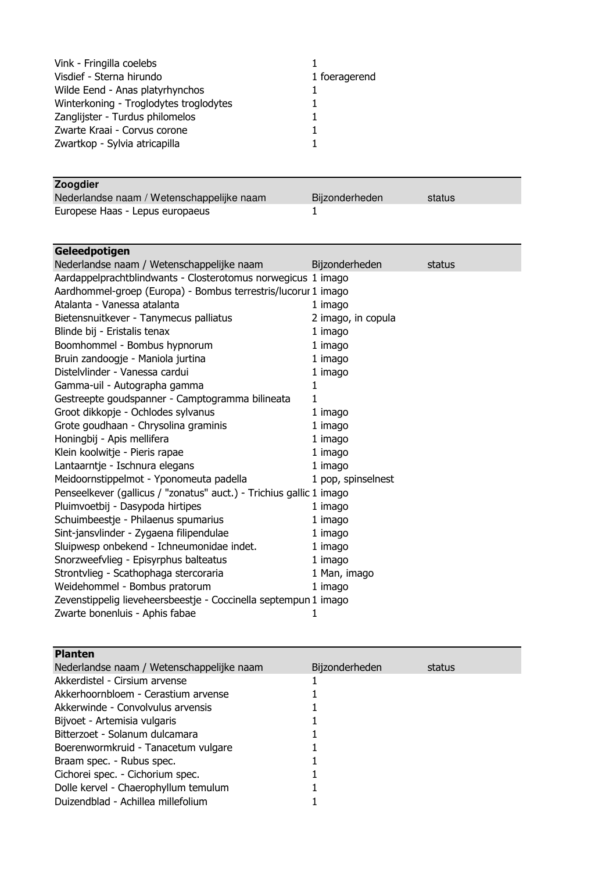| Vink - Fringilla coelebs               |               |
|----------------------------------------|---------------|
| Visdief - Sterna hirundo               | 1 foeragerend |
| Wilde Eend - Anas platyrhynchos        |               |
| Winterkoning - Troglodytes troglodytes |               |
| Zanglijster - Turdus philomelos        |               |
| Zwarte Kraai - Corvus corone           |               |
| Zwartkop - Sylvia atricapilla          |               |
|                                        |               |

## **Zoogdier**

| ________<br>Nederlandse naam / Wetenschappelijke naam | Bijzonderheden | status |
|-------------------------------------------------------|----------------|--------|
| Europese Haas - Lepus europaeus                       |                |        |

| Geleedpotigen                                                       |                    |        |
|---------------------------------------------------------------------|--------------------|--------|
| Nederlandse naam / Wetenschappelijke naam                           | Bijzonderheden     | status |
| Aardappelprachtblindwants - Closterotomus norwegicus 1 imago        |                    |        |
| Aardhommel-groep (Europa) - Bombus terrestris/lucorur 1 imago       |                    |        |
| Atalanta - Vanessa atalanta                                         | 1 imago            |        |
| Bietensnuitkever - Tanymecus palliatus                              | 2 imago, in copula |        |
| Blinde bij - Eristalis tenax                                        | 1 imago            |        |
| Boomhommel - Bombus hypnorum                                        | 1 imago            |        |
| Bruin zandoogje - Maniola jurtina                                   | 1 imago            |        |
| Distelvlinder - Vanessa cardui                                      | 1 imago            |        |
| Gamma-uil - Autographa gamma                                        | 1                  |        |
| Gestreepte goudspanner - Camptogramma bilineata                     | 1                  |        |
| Groot dikkopje - Ochlodes sylvanus                                  | 1 imago            |        |
| Grote goudhaan - Chrysolina graminis                                | 1 imago            |        |
| Honingbij - Apis mellifera                                          | 1 imago            |        |
| Klein koolwitje - Pieris rapae                                      | 1 imago            |        |
| Lantaarntje - Ischnura elegans                                      | 1 imago            |        |
| Meidoornstippelmot - Yponomeuta padella                             | 1 pop, spinselnest |        |
| Penseelkever (gallicus / "zonatus" auct.) - Trichius gallic 1 imago |                    |        |
| Pluimvoetbij - Dasypoda hirtipes                                    | 1 imago            |        |
| Schuimbeestje - Philaenus spumarius                                 | 1 imago            |        |
| Sint-jansvlinder - Zygaena filipendulae                             | 1 imago            |        |
| Sluipwesp onbekend - Ichneumonidae indet.                           | 1 imago            |        |
| Snorzweefvlieg - Episyrphus balteatus                               | 1 imago            |        |
| Strontvlieg - Scathophaga stercoraria                               | 1 Man, imago       |        |
| Weidehommel - Bombus pratorum                                       | 1 imago            |        |
| Zevenstippelig lieveheersbeestje - Coccinella septempun 1 imago     |                    |        |
| Zwarte bonenluis - Aphis fabae                                      | 1                  |        |

| <b>Planten</b>                            |                |        |
|-------------------------------------------|----------------|--------|
| Nederlandse naam / Wetenschappelijke naam | Bijzonderheden | status |
| Akkerdistel - Cirsium arvense             |                |        |
| Akkerhoornbloem - Cerastium arvense       |                |        |
| Akkerwinde - Convolvulus arvensis         |                |        |
| Bijvoet - Artemisia vulgaris              |                |        |
| Bitterzoet - Solanum dulcamara            |                |        |
| Boerenwormkruid - Tanacetum vulgare       |                |        |
| Braam spec. - Rubus spec.                 |                |        |
| Cichorei spec. - Cichorium spec.          |                |        |
| Dolle kervel - Chaerophyllum temulum      |                |        |
| Duizendblad - Achillea millefolium        |                |        |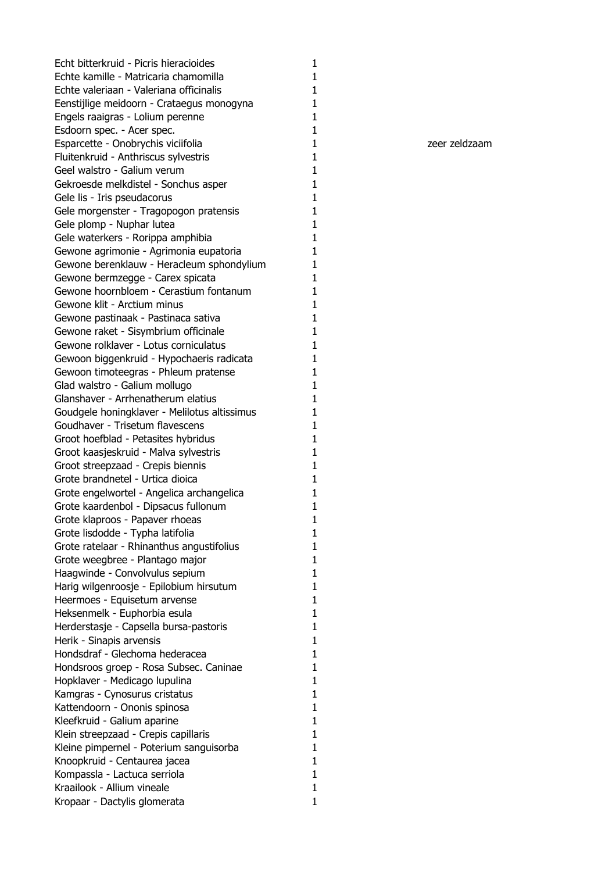Echt bitterkruid - Picris hieracioides Echte kamille - Matricaria chamomilla Echte valeriaan - Valeriana officinalis Eenstijlige meidoorn - Crataegus monogyna Engels raaigras - Lolium perenne Esdoorn spec. - Acer spec. Esparcette - Onobrychis viciifolia Fluitenkruid - Anthriscus sylvestris Geel walstro - Galium verum Gekroesde melkdistel - Sonchus asper Gele lis - Iris pseudacorus Gele morgenster - Tragopogon pratensis Gele plomp - Nuphar lutea Gele waterkers - Rorippa amphibia Gewone agrimonie - Agrimonia eupatoria Gewone berenklauw - Heracleum sphondylium Gewone bermzegge - Carex spicata Gewone hoornbloem - Cerastium fontanum Gewone klit - Arctium minus Gewone pastinaak - Pastinaca sativa Gewone raket - Sisymbrium officinale Gewone rolklaver - Lotus corniculatus Gewoon biggenkruid - Hypochaeris radicata Gewoon timoteegras - Phleum pratense Glad walstro - Galium mollugo Glanshaver - Arrhenatherum elatius Goudgele honingklaver - Melilotus altissimus Goudhaver - Trisetum flavescens Groot hoefblad - Petasites hybridus Groot kaasjeskruid - Malva sylvestris Groot streepzaad - Crepis biennis Grote brandnetel - Urtica dioica Grote engelwortel - Angelica archangelica Grote kaardenbol - Dipsacus fullonum Grote klaproos - Papaver rhoeas Grote lisdodde - Typha latifolia Grote ratelaar - Rhinanthus angustifolius Grote weegbree - Plantago major Haagwinde - Convolvulus sepium Harig wilgenroosje - Epilobium hirsutum Heermoes - Equisetum arvense Heksenmelk - Euphorbia esula Herderstasje - Capsella bursa-pastoris Herik - Sinapis arvensis Hondsdraf - Glechoma hederacea Hondsroos groep - Rosa Subsec. Caninae Hopklaver - Medicago lupulina Kamgras - Cynosurus cristatus Kattendoorn - Ononis spinosa Kleefkruid - Galium aparine Klein streepzaad - Crepis capillaris Kleine pimpernel - Poterium sanguisorba Knoopkruid - Centaurea jacea Kompassla - Lactuca serriola Kraailook - Allium vineale Kropaar - Dactylis glomerata

1 zeer zeldzaam

1

1

1

1

1

1

1

1

1

1

1

1

1

1

1

1

1

1

1

1

1

1

1

1

1

1

1

1

1

1

1

1

1

1

1

1

1

1

1

1

1

1

1

1

1

1

1

1

1

1

1

1

1

1

1